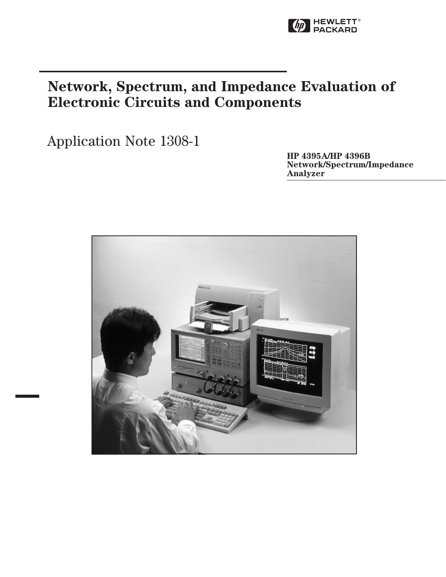

# Network, Spectrum, and Impedance Evaluation of Electronic Circuits and Components

Application Note 1308-1

HP 4395A/HP 4396B Network/Spectrum/Impedance Analyzer

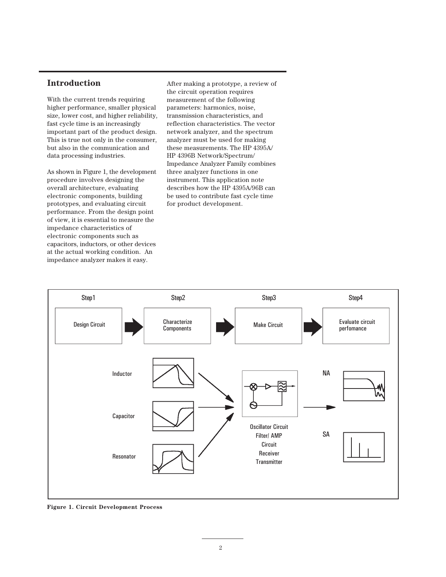# Introduction

With the current trends requiring higher performance, smaller physical size, lower cost, and higher reliability, fast cycle time is an increasingly important part of the product design. This is true not only in the consumer, but also in the communication and data processing industries.

As shown in Figure 1, the development procedure involves designing the overall architecture, evaluating electronic components, building prototypes, and evaluating circuit performance. From the design point of view, it is essential to measure the impedance characteristics of electronic components such as capacitors, inductors, or other devices at the actual working condition. An impedance analyzer makes it easy.

After making a prototype, a review of the circuit operation requires measurement of the following parameters: harmonics, noise, transmission characteristics, and reflection characteristics. The vector network analyzer, and the spectrum analyzer must be used for making these measurements. The HP 4395A/ HP 4396B Network/Spectrum/ Impedance Analyzer Family combines three analyzer functions in one instrument. This application note describes how the HP 4395A/96B can be used to contribute fast cycle time for product development.



Figure 1. Circuit Development Process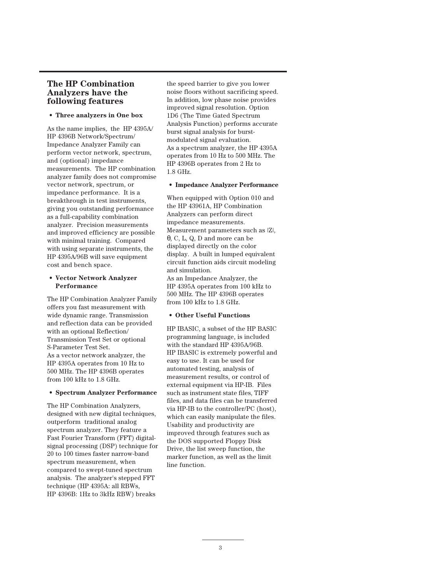# The HP Combination Analyzers have the following features

# Three analyzers in One box

As the name implies, the HP 4395A/ HP 4396B Network/Spectrum/ Impedance Analyzer Family can perform vector network, spectrum, and (optional) impedance measurements. The HP combination analyzer family does not compromise vector network, spectrum, or impedance performance. It is a breakthrough in test instruments, giving you outstanding performance as a full-capability combination analyzer. Precision measurements and improved efficiency are possible with minimal training. Compared with using separate instruments, the HP 4395A/96B will save equipment cost and bench space.

### Vector Network Analyzer Performance

The HP Combination Analyzer Family offers you fast measurement with wide dynamic range. Transmission and reflection data can be provided with an optional Reflection/ Transmission Test Set or optional S-Parameter Test Set. As a vector network analyzer, the HP 4395A operates from 10 Hz to 500 MHz. The HP 4396B operates from 100 kHz to 1.8 GHz.

### Spectrum Analyzer Performance

The HP Combination Analyzers, designed with new digital techniques, outperform traditional analog spectrum analyzer. They feature a Fast Fourier Transform (FFT) digitalsignal processing (DSP) technique for 20 to 100 times faster narrow-band spectrum measurement, when compared to swept-tuned spectrum analysis. The analyzer's stepped FFT technique (HP 4395A: all RBWs, HP 4396B: 1Hz to 3kHz RBW) breaks

the speed barrier to give you lower noise floors without sacrificing speed. In addition, low phase noise provides improved signal resolution. Option 1D6 (The Time Gated Spectrum Analysis Function) performs accurate burst signal analysis for burstmodulated signal evaluation. As a spectrum analyzer, the HP 4395A operates from 10 Hz to 500 MHz. The HP 4396B operates from 2 Hz to 1.8 GHz.

# Impedance Analyzer Performance

When equipped with Option 010 and the HP 43961A, HP Combination Analyzers can perform direct impedance measurements. Measurement parameters such as |Z|, θ, C, L, Q, D and more can be displayed directly on the color display. A built in lumped equivalent circuit function aids circuit modeling and simulation.

As an Impedance Analyzer, the HP 4395A operates from 100 kHz to 500 MHz. The HP 4396B operates from 100 kHz to 1.8 GHz.

### Other Useful Functions

HP IBASIC, a subset of the HP BASIC programming language, is included with the standard HP 4395A/96B. HP IBASIC is extremely powerful and easy to use. It can be used for automated testing, analysis of measurement results, or control of external equipment via HP-IB. Files such as instrument state files, TIFF files, and data files can be transferred via HP-IB to the controller/PC (host), which can easily manipulate the files. Usability and productivity are improved through features such as the DOS supported Floppy Disk Drive, the list sweep function, the marker function, as well as the limit line function.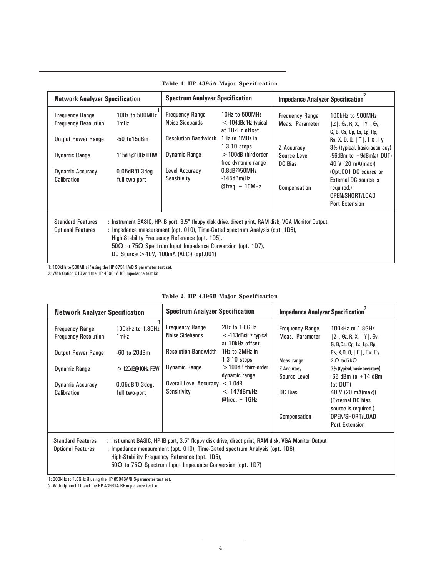| <b>Network Analyzer Specification</b>                                                                                                                                                                                                                                                                                                                                                                                   |                                        | <b>Spectrum Analyzer Specification</b>    |                                                             | <b>Impedance Analyzer Specification</b> <sup>2</sup> |                                                                                                          |  |  |  |
|-------------------------------------------------------------------------------------------------------------------------------------------------------------------------------------------------------------------------------------------------------------------------------------------------------------------------------------------------------------------------------------------------------------------------|----------------------------------------|-------------------------------------------|-------------------------------------------------------------|------------------------------------------------------|----------------------------------------------------------------------------------------------------------|--|--|--|
| <b>Frequency Range</b><br><b>Frequency Resolution</b>                                                                                                                                                                                                                                                                                                                                                                   | 10Hz to 500MHz<br>1mHz                 | <b>Frequency Range</b><br>Noise Sidebands | 10Hz to 500MHz<br>$<$ -104dBc/Hz typical<br>at 10kHz offset | <b>Frequency Range</b><br>Meas. Parameter            | 100kHz to 500MHz<br>$ Z $ , $\theta$ z, R, X, $ Y $ , $\theta$ y,<br>G, B, Cs, Cp, Ls, Lp, Rp,           |  |  |  |
| <b>Output Power Range</b>                                                                                                                                                                                                                                                                                                                                                                                               | $-50$ to $15$ d $Bm$                   | <b>Resolution Bandwidth</b>               | 1Hz to 1MHz in<br>$1-3-10$ steps                            | Z Accuracy                                           | Rs, X, D, Q, $ \Gamma $ , $\Gamma$ x, $\Gamma$ y<br>3% (typical, basic accuracy)                         |  |  |  |
| <b>Dynamic Range</b>                                                                                                                                                                                                                                                                                                                                                                                                    | 115dB@10Hz IFBW                        | <b>Dynamic Range</b>                      | $>$ 100dB third-order<br>free dynamic range                 | Source Level<br>DC Bias                              | $-56$ dBm to $+9$ dBm(at DUT)<br>40 V (20 mA(max))                                                       |  |  |  |
| Dynamic Accuracy<br>Calibration                                                                                                                                                                                                                                                                                                                                                                                         | $0.05$ dB $/0.3$ deg.<br>full two-port | Level Accuracy<br>Sensitivity             | $0.8$ d $B$ @50MHz<br>$-145$ d $Bm/Hz$<br>$@$ freg. = 10MHz | Compensation                                         | (Opt.001 DC source or<br>External DC source is<br>required.)<br>OPEN/SHORT/LOAD<br><b>Port Extension</b> |  |  |  |
| <b>Standard Features</b><br>: Instrument BASIC, HP-IB port, 3.5" floppy disk drive, direct print, RAM disk, VGA Monitor Output<br>: Impedance measurement (opt. 010), Time-Gated spectrum Analysis (opt. 1D6),<br><b>Optional Features</b><br>High-Stability Frequency Reference (opt. 1D5),<br>$50\Omega$ to 75 $\Omega$ Spectrum Input Impedance Conversion (opt. 1D7),<br>DC Source( $>40V$ , 100mA (ALC)) (opt.001) |                                        |                                           |                                                             |                                                      |                                                                                                          |  |  |  |

# Table 1. HP 4395A Major Specification

1: 100kHz to 500MHz if using the HP 87511A/B S-parameter test set.

2: With Option 010 and the HP 43961A RF impedance test kit

# Table 2. HP 4396B Major Specification

| <b>Network Analyzer Specification</b>                                                                                                                                                                                                                                                                                                                                    |                                        | <b>Spectrum Analyzer Specification</b>       |                                                            | <b>Impedance Analyzer Specification</b>   |                                                                                                |  |  |  |
|--------------------------------------------------------------------------------------------------------------------------------------------------------------------------------------------------------------------------------------------------------------------------------------------------------------------------------------------------------------------------|----------------------------------------|----------------------------------------------|------------------------------------------------------------|-------------------------------------------|------------------------------------------------------------------------------------------------|--|--|--|
| <b>Frequency Range</b><br><b>Frequency Resolution</b>                                                                                                                                                                                                                                                                                                                    | 100kHz to 1.8GHz<br>1mHz               | <b>Frequency Range</b><br>Noise Sidebands    | 2Hz to 1.8GHz<br>$<$ -113dBc/Hz typical<br>at 10kHz offset | <b>Frequency Range</b><br>Meas. Parameter | 100kHz to 1.8GHz<br>$ Z $ , $\theta$ z, R, X, $ Y $ , $\theta$ y,<br>G, B, Cs, Cp, Ls, Lp, Rp, |  |  |  |
| <b>Output Power Range</b>                                                                                                                                                                                                                                                                                                                                                | $-60$ to $20dBm$                       | <b>Resolution Bandwidth</b>                  | 1Hz to 3MHz in<br>$1-3-10$ steps                           | Meas.range                                | Rs, X, D, Q, $ \Gamma $ , $\Gamma$ x, $\Gamma$ y<br>$2 \Omega$ to $5 k\Omega$                  |  |  |  |
| <b>Dynamic Range</b>                                                                                                                                                                                                                                                                                                                                                     | $>120$ dB@10HzIFBW                     | <b>Dynamic Range</b>                         | $>$ 100dB third-order<br>dynamic range                     | Z Accuracy<br>Source Level                | 3% (typical, basic accuracy)<br>$-66$ dBm to $+14$ dBm                                         |  |  |  |
| <b>Dynamic Accuracy</b><br>Calibration                                                                                                                                                                                                                                                                                                                                   | $0.05$ dB $/0.3$ deg.<br>full two-port | <b>Overall Level Accuracy</b><br>Sensitivity | $<$ 1.0dB<br>$<$ -147dBm/Hz<br>$@$ freg. = 1GHz            | DC Bias                                   | (at DUT)<br>40 V (20 mA(max))<br>(External DC bias)<br>source is required.)                    |  |  |  |
|                                                                                                                                                                                                                                                                                                                                                                          |                                        |                                              |                                                            | Compensation                              | OPEN/SHORT/LOAD<br><b>Port Extension</b>                                                       |  |  |  |
| <b>Standard Features</b><br>: Instrument BASIC, HP-IB port, 3.5" floppy disk drive, direct print, RAM disk, VGA Monitor Output<br><b>Optional Features</b><br>: Impedance measurement (opt. 010), Time-Gated spectrum Analysis (opt. 1D6),<br>High-Stability Frequency Reference (opt. 1D5),<br>$50\Omega$ to 75 $\Omega$ Spectrum Input Impedance Conversion (opt. 1D7) |                                        |                                              |                                                            |                                           |                                                                                                |  |  |  |

1: 300kHz to 1.8GHz if using the HP 85046A/B S-parameter test set.

2: With Option 010 and the HP 43961A RF impedance test kit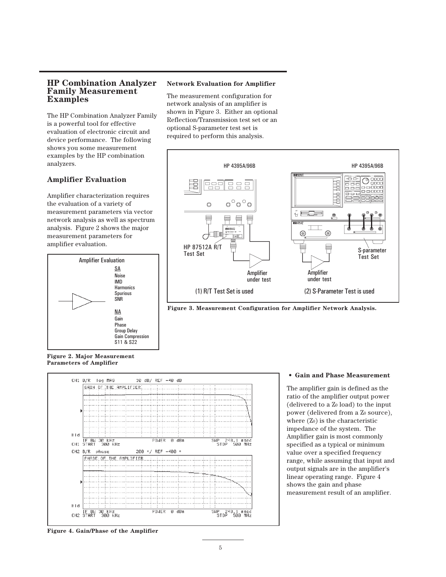# HP Combination Analyzer Family Measurement Examples

The HP Combination Analyzer Family is a powerful tool for effective evaluation of electronic circuit and device performance. The following shows you some measurement examples by the HP combination analyzers.

# Amplifier Evaluation

Amplifier characterization requires the evaluation of a variety of measurement parameters via vector network analysis as well as spectrum analysis. Figure 2 shows the major measurement parameters for amplifier evaluation.



# Network Evaluation for Amplifier

The measurement configuration for network analysis of an amplifier is shown in Figure 3. Either an optional Reflection/Transmission test set or an optional S-parameter test set is required to perform this analysis.



Figure 3. Measurement Configuration for Amplifier Network Analysis.





# Gain and Phase Measurement

The amplifier gain is defined as the ratio of the amplifier output power (delivered to a Z0 load) to the input power (delivered from a Z<sub>0</sub> source), where  $(Z_0)$  is the characteristic impedance of the system. The Amplifier gain is most commonly specified as a typical or minimum value over a specified frequency range, while assuming that input and output signals are in the amplifier's linear operating range. Figure 4 shows the gain and phase measurement result of an amplifier.

Figure 4. Gain/Phase of the Amplifier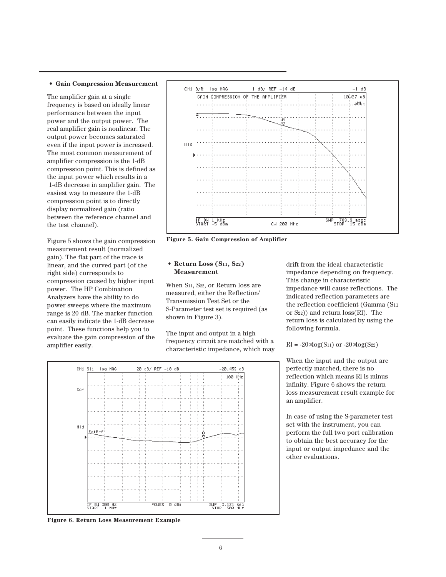### Gain Compression Measurement

The amplifier gain at a single frequency is based on ideally linear performance between the input power and the output power. The real amplifier gain is nonlinear. The output power becomes saturated even if the input power is increased. The most common measurement of amplifier compression is the 1-dB compression point. This is defined as the input power which results in a 1-dB decrease in amplifier gain. The easiest way to measure the 1-dB compression point is to directly display normalized gain (ratio between the reference channel and the test channel).

Figure 5 shows the gain compression measurement result (normalized gain). The flat part of the trace is linear, and the curved part (of the right side) corresponds to compression caused by higher input power. The HP Combination Analyzers have the ability to do power sweeps where the maximum range is 20 dB. The marker function can easily indicate the 1-dB decrease point. These functions help you to evaluate the gain compression of the amplifier easily.



Figure 5. Gain Compression of Amplifier

# • Return Loss (S<sub>11</sub>, S<sub>22</sub>) Measurement

When S<sub>11</sub>, S<sub>22</sub>, or Return loss are measured, either the Reflection/ Transmission Test Set or the S-Parameter test set is required (as shown in Figure 3).

The input and output in a high frequency circuit are matched with a characteristic impedance, which may drift from the ideal characteristic impedance depending on frequency. This change in characteristic impedance will cause reflections. The indicated reflection parameters are the reflection coefficient (Gamma (S<sup>11</sup> or S22)) and return loss(Rl). The return loss is calculated by using the following formula.

# $Rl = -20 \times log(S_{11})$  or  $-20 \times log(S_{22})$

When the input and the output are perfectly matched, there is no reflection which means Rl is minus infinity. Figure 6 shows the return loss measurement result example for an amplifier.

In case of using the S-parameter test set with the instrument, you can perform the full two port calibration to obtain the best accuracy for the input or output impedance and the other evaluations.



Figure 6. Return Loss Measurement Example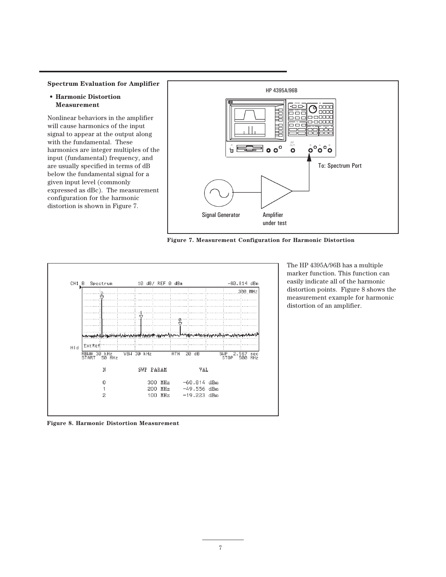# Spectrum Evaluation for Amplifier

# Harmonic Distortion Measurement

Nonlinear behaviors in the amplifier will cause harmonics of the input signal to appear at the output along with the fundamental. These harmonics are integer multiples of the input (fundamental) frequency, and are usually specified in terms of dB below the fundamental signal for a given input level (commonly expressed as dBc). The measurement configuration for the harmonic distortion is shown in Figure 7.



Figure 7. Measurement Configuration for Harmonic Distortion



The HP 4395A/96B has a multiple marker function. This function can easily indicate all of the harmonic distortion points. Figure 8 shows the measurement example for harmonic distortion of an amplifier.

Figure 8. Harmonic Distortion Measurement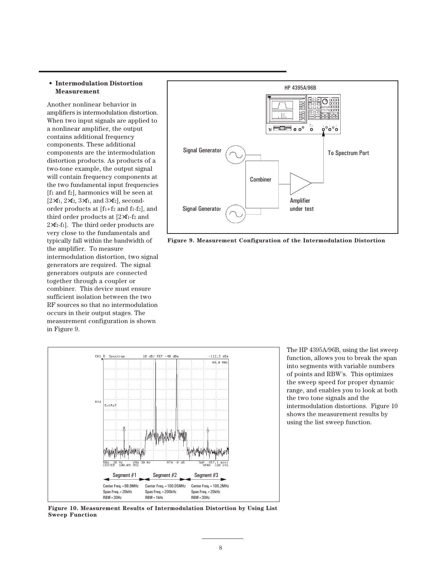# • Intermodulation Distortion Measurement

Another nonlinear behavior in amplifiers is intermodulation distortion. When two input signals are applied to a nonlinear amplifier, the output contains additional frequency components. These additional components are the intermodulation distortion products. As products of a two-tone example, the output signal will contain frequency components at the two fundamental input frequencies [f1 and f2], harmonics will be seen at  $[2\times f_1, 2\times f_2, 3\times f_1,$  and  $3\times f_2$ ], secondorder products at [f1+f2 and f1-f2], and third order products at [2×f1-f2 and  $2\times$ f<sub>2</sub>-f<sub>1</sub>]. The third order products are very close to the fundamentals and typically fall within the bandwidth of the amplifier. To measure intermodulation distortion, two signal generators are required. The signal generators outputs are connected together through a coupler or combiner. This device must ensure sufficient isolation between the two RF sources so that no intermodulation occurs in their output stages. The measurement configuration is shown in Figure 9.







The HP 4395A/96B, using the list sweep function, allows you to break the span into segments with variable numbers of points and RBW's. This optimizes the sweep speed for proper dynamic range, and enables you to look at both the two tone signals and the intermodulation distortions. Figure 10 shows the measurement results by using the list sweep function.

Figure 10. Measurement Results of Intermodulation Distortion by Using List Sweep Function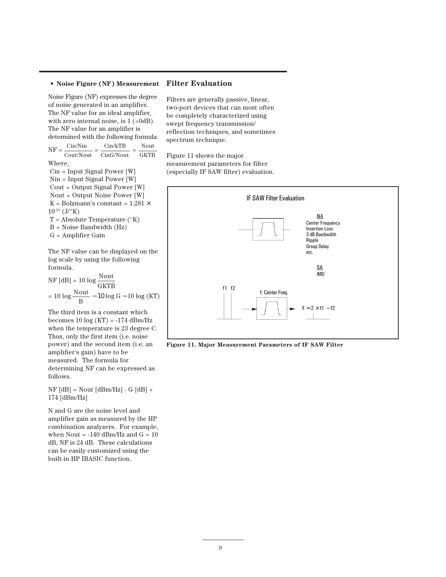#### Noise Figure (NF) Measurement Filter Evaluation

Noise Figure (NF) expresses the degree of noise generated in an amplifier. The NF value for an ideal amplifier, with zero internal noise, is 1 (=0dB). The NF value for an amplifier is determined with the following formula.

 $NF = \frac{CHI NIII}{Cout/Nout} = \frac{CHI NID}{CinG/Nout} = \frac{NOut}{GKTB}$ Where, Cin = Input Signal Power [W] Nin = Input Signal Power [W] Cout = Output Signal Power [W] Nout = Output Noise Power [W] K = Bolzmann's constant =  $1.281 \times$  $10^{-13}$  (J/ $^{\circ}$ K) Cin/Nin Cin/kTB Nout

 $T =$  Absolute Temperature ( $\mathrm{K}$ )  $B = Noise Bandwidth(Hz)$ 

G = Amplifier Gain

The NF value can be displayed on the log scale by using the following formula.

 $NF$ [dB] = 10 log  $\frac{Nout}{\sigma}$  $= 10 \log \frac{\text{Nout}}{\text{R}} - 10 \log \text{G} - 10 \log (\text{KT})$ GKTB B

The third item is a constant which becomes 10 log (KT) = -174 dBm/Hz when the temperature is 23 degree C. Thus, only the first item (i.e. noise power) and the second item (i.e. an amplifier's gain) have to be measured. The formula for determining NF can be expressed as follows.

 $NF$  [dB] = Nout [dBm/Hz] - G [dB] + 174 [dBm/Hz]

N and G are the noise level and amplifier gain as measured by the HP combination analyzers. For example, when Nout =  $-140$  dBm/Hz and G =  $10$ dB, NF is 24 dB. These calculations can be easily customized using the built-in HP IBASIC function.

Filters are generally passive, linear, two-port devices that can most often be completely characterized using swept frequency transmission/ reflection techniques, and sometimes spectrum technique.

Figure 11 shows the major measurement parameters for filter (especially IF SAW filter) evaluation.



Figure 11. Major Measurement Parameters of IF SAW Filter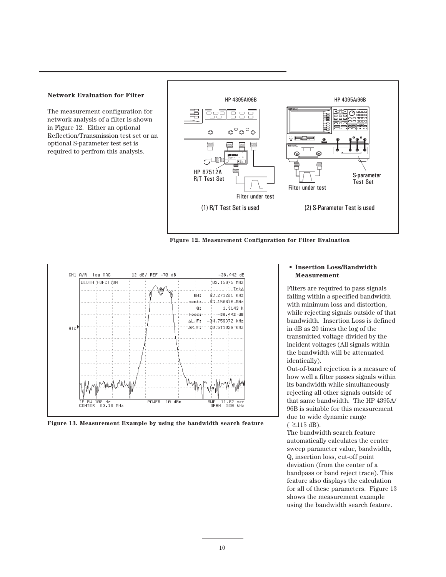### Network Evaluation for Filter

The measurement configuration for network analysis of a filter is shown in Figure 12. Either an optional Reflection/Transmission test set or an optional S-parameter test set is required to perfrom this analysis.



Figure 12. Measurement Configuration for Filter Evaluation



Figure 13. Measurement Example by using the bandwidth search feature

# • Insertion Loss/Bandwidth Measurement

Filters are required to pass signals falling within a specified bandwidth with minimum loss and distortion, while rejecting signals outside of that bandwidth. Insertion Loss is defined in dB as 20 times the log of the transmitted voltage divided by the incident voltages (All signals within the bandwidth will be attenuated identically).

 $( ≥ 115 dB).$ Out-of-band rejection is a measure of how well a filter passes signals within its bandwidth while simultaneously rejecting all other signals outside of that same bandwidth. The HP 4395A/ 96B is suitable for this measurement due to wide dynamic range

The bandwidth search feature automatically calculates the center sweep parameter value, bandwidth, Q, insertion loss, cut-off point deviation (from the center of a bandpass or band reject trace). This feature also displays the calculation for all of these parameters. Figure 13 shows the measurement example using the bandwidth search feature.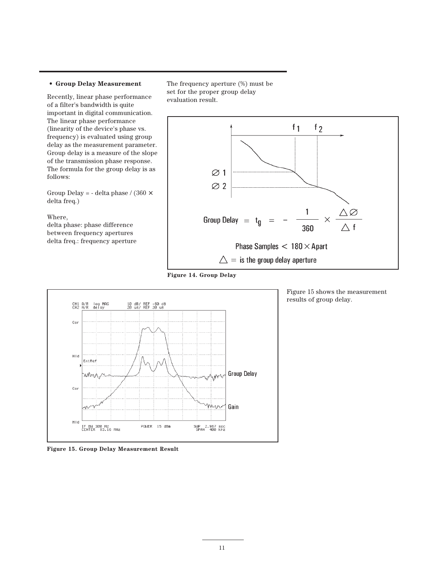# Group Delay Measurement

Recently, linear phase performance of a filter's bandwidth is quite important in digital communication. The linear phase performance (linearity of the device's phase vs. frequency) is evaluated using group delay as the measurement parameter. Group delay is a measure of the slope of the transmission phase response. The formula for the group delay is as follows:

Group Delay = - delta phase /  $(360 \times$ delta freq.)

### Where,

delta phase: phase difference between frequency apertures delta freq.: frequency aperture









Figure 15 shows the measurement results of group delay.

Figure 15. Group Delay Measurement Result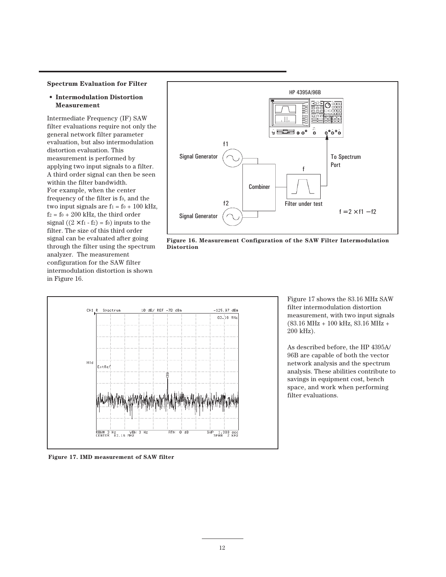# Spectrum Evaluation for Filter

### • Intermodulation Distortion Measurement

Intermediate Frequency (IF) SAW filter evaluations require not only the general network filter parameter evaluation, but also intermodulation distortion evaluation. This measurement is performed by applying two input signals to a filter. A third order signal can then be seen within the filter bandwidth. For example, when the center frequency of the filter is f<sub>0</sub>, and the two input signals are  $f_1 = f_0 + 100$  kHz,  $f_2 = f_0 + 200$  kHz, the third order signal  $((2 \times f_1 - f_2) = f_0)$  inputs to the filter. The size of this third order signal can be evaluated after going through the filter using the spectrum analyzer. The measurement configuration for the SAW filter intermodulation distortion is shown in Figure 16.







Figure 17. IMD measurement of SAW filter

Figure 17 shows the 83.16 MHz SAW filter intermodulation distortion measurement, with two input signals (83.16 MHz + 100 kHz, 83.16 MHz + 200 kHz).

As described before, the HP 4395A/ 96B are capable of both the vector network analysis and the spectrum analysis. These abilities contribute to savings in equipment cost, bench space, and work when performing filter evaluations.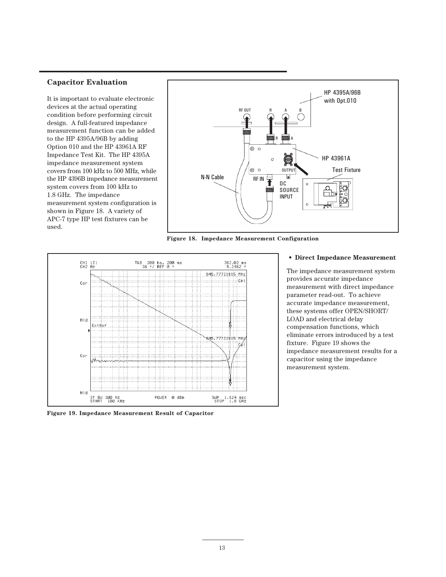# Capacitor Evaluation

It is important to evaluate electronic devices at the actual operating condition before performing circuit design. A full-featured impedance measurement function can be added to the HP 4395A/96B by adding Option 010 and the HP 43961A RF Impedance Test Kit. The HP 4395A impedance measurement system covers from 100 kHz to 500 MHz, while the HP 4396B impedance measurement system covers from 100 kHz to 1.8 GHz. The impedance measurement system configuration is shown in Figure 18. A variety of APC-7 type HP test fixtures can be used.



Figure 18. Impedance Measurement Configuration



Figure 19. Impedance Measurement Result of Capacitor

### Direct Impedance Measurement

The impedance measurement system provides accurate impedance measurement with direct impedance parameter read-out. To achieve accurate impedance measurement, these systems offer OPEN/SHORT/ LOAD and electrical delay compensation functions, which eliminate errors introduced by a test fixture. Figure 19 shows the impedance measurement results for a capacitor using the impedance measurement system.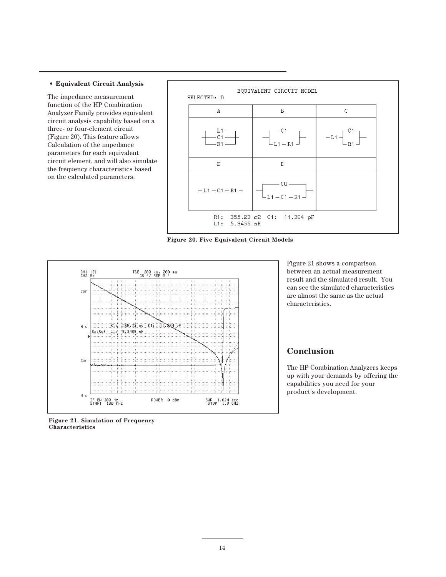# Equivalent Circuit Analysis

The impedance measurement function of the HP Combination Analyzer Family provides equivalent circuit analysis capability based on a three- or four-element circuit (Figure 20). This feature allows Calculation of the impedance parameters for each equivalent circuit element, and will also simulate the frequency characteristics based on the calculated parameters.



Figure 20. Five Equivalent Circuit Models



Figure 21 shows a comparison between an actual measurement result and the simulated result. You can see the simulated characteristics are almost the same as the actual characteristics.

# **Conclusion**

The HP Combination Analyzers keeps up with your demands by offering the capabilities you need for your product's development.

Figure 21. Simulation of Frequency Characteristics